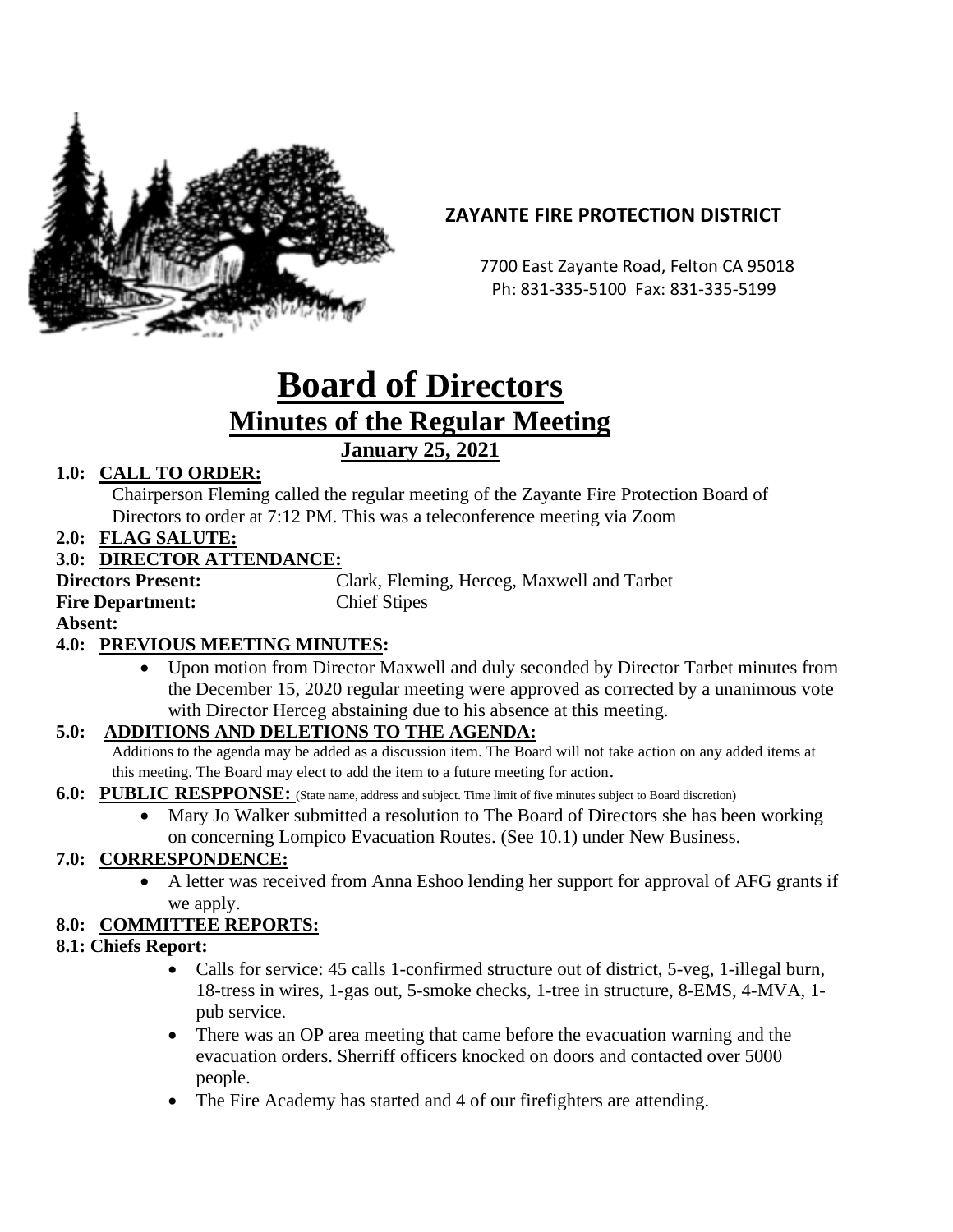

## **ZAYANTE FIRE PROTECTION DISTRICT**

 7700 East Zayante Road, Felton CA 95018 Ph: 831-335-5100 Fax: 831-335-5199

# **Board of Directors Minutes of the Regular Meeting January 25, 2021**

## **1.0: CALL TO ORDER:**

Chairperson Fleming called the regular meeting of the Zayante Fire Protection Board of Directors to order at 7:12 PM. This was a teleconference meeting via Zoom

**2.0: FLAG SALUTE:**

## **3.0: DIRECTOR ATTENDANCE:**

**Fire Department:** Chief Stipes

**Directors Present:** Clark, Fleming, Herceg, Maxwell and Tarbet

**Absent:** 

## **4.0: PREVIOUS MEETING MINUTES:**

• Upon motion from Director Maxwell and duly seconded by Director Tarbet minutes from the December 15, 2020 regular meeting were approved as corrected by a unanimous vote with Director Herceg abstaining due to his absence at this meeting.

## **5.0: ADDITIONS AND DELETIONS TO THE AGENDA:**

Additions to the agenda may be added as a discussion item. The Board will not take action on any added items at this meeting. The Board may elect to add the item to a future meeting for action.

#### **6.0: PUBLIC RESPPONSE:** (State name, address and subject. Time limit of five minutes subject to Board discretion)

• Mary Jo Walker submitted a resolution to The Board of Directors she has been working on concerning Lompico Evacuation Routes. (See 10.1) under New Business.

## **7.0: CORRESPONDENCE:**

• A letter was received from Anna Eshoo lending her support for approval of AFG grants if we apply.

## **8.0: COMMITTEE REPORTS:**

#### **8.1: Chiefs Report:**

- Calls for service: 45 calls 1-confirmed structure out of district, 5-veg, 1-illegal burn, 18-tress in wires, 1-gas out, 5-smoke checks, 1-tree in structure, 8-EMS, 4-MVA, 1 pub service.
- There was an OP area meeting that came before the evacuation warning and the evacuation orders. Sherriff officers knocked on doors and contacted over 5000 people.
- The Fire Academy has started and 4 of our firefighters are attending.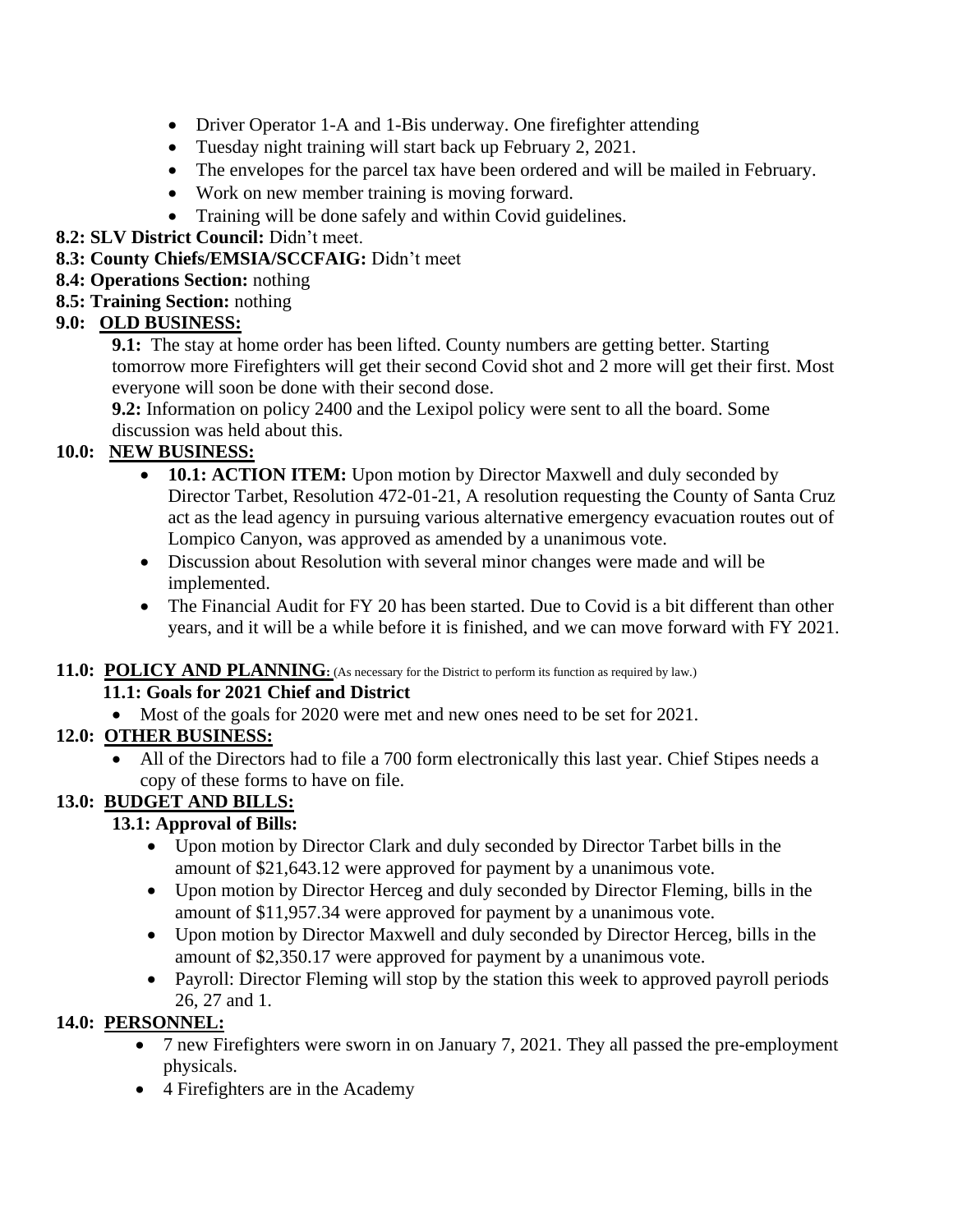- Driver Operator 1-A and 1-Bis underway. One firefighter attending
- Tuesday night training will start back up February 2, 2021.
- The envelopes for the parcel tax have been ordered and will be mailed in February.
- Work on new member training is moving forward.
- Training will be done safely and within Covid guidelines.

#### **8.2: SLV District Council:** Didn't meet.

#### **8.3: County Chiefs/EMSIA/SCCFAIG:** Didn't meet

- **8.4: Operations Section:** nothing
- **8.5: Training Section:** nothing

## **9.0: OLD BUSINESS:**

**9.1:** The stay at home order has been lifted. County numbers are getting better. Starting tomorrow more Firefighters will get their second Covid shot and 2 more will get their first. Most everyone will soon be done with their second dose.

**9.2:** Information on policy 2400 and the Lexipol policy were sent to all the board. Some discussion was held about this.

## **10.0: NEW BUSINESS:**

- **10.1: ACTION ITEM:** Upon motion by Director Maxwell and duly seconded by Director Tarbet, Resolution 472-01-21, A resolution requesting the County of Santa Cruz act as the lead agency in pursuing various alternative emergency evacuation routes out of Lompico Canyon, was approved as amended by a unanimous vote.
- Discussion about Resolution with several minor changes were made and will be implemented.
- The Financial Audit for FY 20 has been started. Due to Covid is a bit different than other years, and it will be a while before it is finished, and we can move forward with FY 2021.

## **11.0: POLICY AND PLANNING**: (As necessary for the District to perform its function as required by law.)

## **11.1: Goals for 2021 Chief and District**

• Most of the goals for 2020 were met and new ones need to be set for 2021.

## **12.0: OTHER BUSINESS:**

• All of the Directors had to file a 700 form electronically this last year. Chief Stipes needs a copy of these forms to have on file.

## **13.0: BUDGET AND BILLS:**

## **13.1: Approval of Bills:**

- Upon motion by Director Clark and duly seconded by Director Tarbet bills in the amount of \$21,643.12 were approved for payment by a unanimous vote.
- Upon motion by Director Herceg and duly seconded by Director Fleming, bills in the amount of \$11,957.34 were approved for payment by a unanimous vote.
- Upon motion by Director Maxwell and duly seconded by Director Herceg, bills in the amount of \$2,350.17 were approved for payment by a unanimous vote.
- Payroll: Director Fleming will stop by the station this week to approved payroll periods 26, 27 and 1.

## **14.0: PERSONNEL:**

- 7 new Firefighters were sworn in on January 7, 2021. They all passed the pre-employment physicals.
- 4 Firefighters are in the Academy